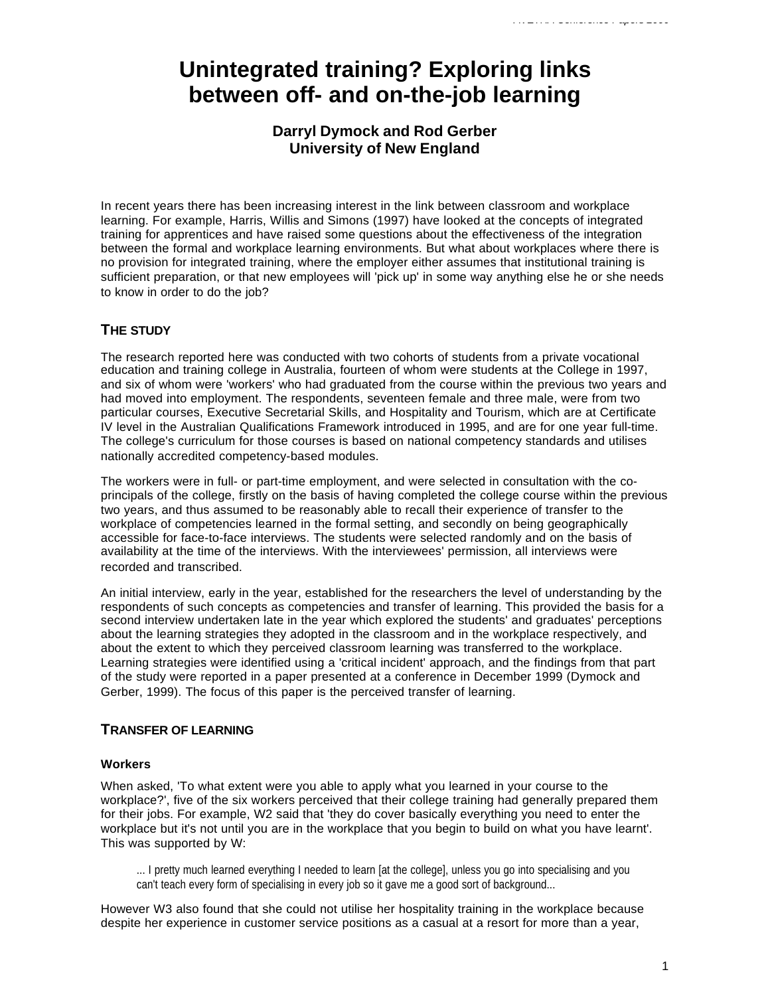# **Unintegrated training? Exploring links between off- and on-the-job learning**

# **Darryl Dymock and Rod Gerber University of New England**

In recent years there has been increasing interest in the link between classroom and workplace learning. For example, Harris, Willis and Simons (1997) have looked at the concepts of integrated training for apprentices and have raised some questions about the effectiveness of the integration between the formal and workplace learning environments. But what about workplaces where there is no provision for integrated training, where the employer either assumes that institutional training is sufficient preparation, or that new employees will 'pick up' in some way anything else he or she needs to know in order to do the job?

# **THE STUDY**

The research reported here was conducted with two cohorts of students from a private vocational education and training college in Australia, fourteen of whom were students at the College in 1997, and six of whom were 'workers' who had graduated from the course within the previous two years and had moved into employment. The respondents, seventeen female and three male, were from two particular courses, Executive Secretarial Skills, and Hospitality and Tourism, which are at Certificate IV level in the Australian Qualifications Framework introduced in 1995, and are for one year full-time. The college's curriculum for those courses is based on national competency standards and utilises nationally accredited competency-based modules.

The workers were in full- or part-time employment, and were selected in consultation with the coprincipals of the college, firstly on the basis of having completed the college course within the previous two years, and thus assumed to be reasonably able to recall their experience of transfer to the workplace of competencies learned in the formal setting, and secondly on being geographically accessible for face-to-face interviews. The students were selected randomly and on the basis of availability at the time of the interviews. With the interviewees' permission, all interviews were recorded and transcribed.

An initial interview, early in the year, established for the researchers the level of understanding by the respondents of such concepts as competencies and transfer of learning. This provided the basis for a second interview undertaken late in the year which explored the students' and graduates' perceptions about the learning strategies they adopted in the classroom and in the workplace respectively, and about the extent to which they perceived classroom learning was transferred to the workplace. Learning strategies were identified using a 'critical incident' approach, and the findings from that part of the study were reported in a paper presented at a conference in December 1999 (Dymock and Gerber, 1999). The focus of this paper is the perceived transfer of learning.

# **TRANSFER OF LEARNING**

## **Workers**

When asked, 'To what extent were you able to apply what you learned in your course to the workplace?', five of the six workers perceived that their college training had generally prepared them for their jobs. For example, W2 said that 'they do cover basically everything you need to enter the workplace but it's not until you are in the workplace that you begin to build on what you have learnt'. This was supported by W:

... I pretty much learned everything I needed to learn [at the college], unless you go into specialising and you can't teach every form of specialising in every job so it gave me a good sort of background...

However W3 also found that she could not utilise her hospitality training in the workplace because despite her experience in customer service positions as a casual at a resort for more than a year,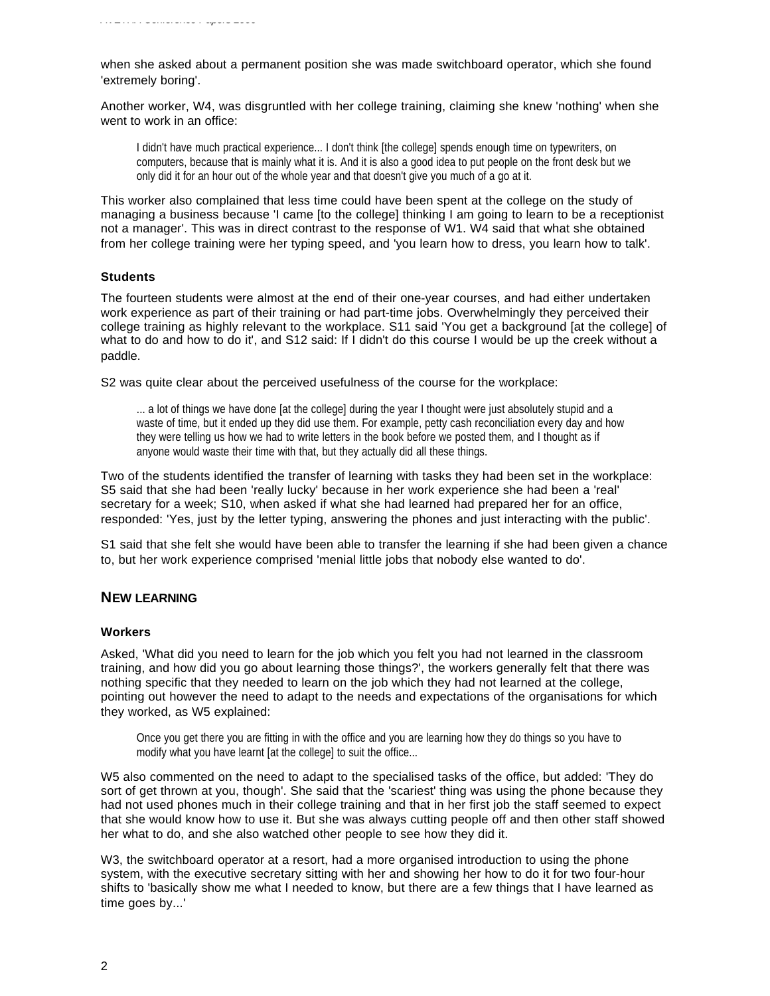when she asked about a permanent position she was made switchboard operator, which she found 'extremely boring'.

Another worker, W4, was disgruntled with her college training, claiming she knew 'nothing' when she went to work in an office:

I didn't have much practical experience... I don't think [the college] spends enough time on typewriters, on computers, because that is mainly what it is. And it is also a good idea to put people on the front desk but we only did it for an hour out of the whole year and that doesn't give you much of a go at it.

This worker also complained that less time could have been spent at the college on the study of managing a business because 'I came [to the college] thinking I am going to learn to be a receptionist not a manager'. This was in direct contrast to the response of W1. W4 said that what she obtained from her college training were her typing speed, and 'you learn how to dress, you learn how to talk'.

#### **Students**

The fourteen students were almost at the end of their one-year courses, and had either undertaken work experience as part of their training or had part-time jobs. Overwhelmingly they perceived their college training as highly relevant to the workplace. S11 said 'You get a background [at the college] of what to do and how to do it', and S12 said: If I didn't do this course I would be up the creek without a paddle.

S2 was quite clear about the perceived usefulness of the course for the workplace:

... a lot of things we have done [at the college] during the year I thought were just absolutely stupid and a waste of time, but it ended up they did use them. For example, petty cash reconciliation every day and how they were telling us how we had to write letters in the book before we posted them, and I thought as if anyone would waste their time with that, but they actually did all these things.

Two of the students identified the transfer of learning with tasks they had been set in the workplace: S5 said that she had been 'really lucky' because in her work experience she had been a 'real' secretary for a week; S10, when asked if what she had learned had prepared her for an office, responded: 'Yes, just by the letter typing, answering the phones and just interacting with the public'.

S1 said that she felt she would have been able to transfer the learning if she had been given a chance to, but her work experience comprised 'menial little jobs that nobody else wanted to do'.

## **NEW LEARNING**

#### **Workers**

Asked, 'What did you need to learn for the job which you felt you had not learned in the classroom training, and how did you go about learning those things?', the workers generally felt that there was nothing specific that they needed to learn on the job which they had not learned at the college, pointing out however the need to adapt to the needs and expectations of the organisations for which they worked, as W5 explained:

Once you get there you are fitting in with the office and you are learning how they do things so you have to modify what you have learnt [at the college] to suit the office...

W5 also commented on the need to adapt to the specialised tasks of the office, but added: 'They do sort of get thrown at you, though'. She said that the 'scariest' thing was using the phone because they had not used phones much in their college training and that in her first job the staff seemed to expect that she would know how to use it. But she was always cutting people off and then other staff showed her what to do, and she also watched other people to see how they did it.

W3, the switchboard operator at a resort, had a more organised introduction to using the phone system, with the executive secretary sitting with her and showing her how to do it for two four-hour shifts to 'basically show me what I needed to know, but there are a few things that I have learned as time goes by...'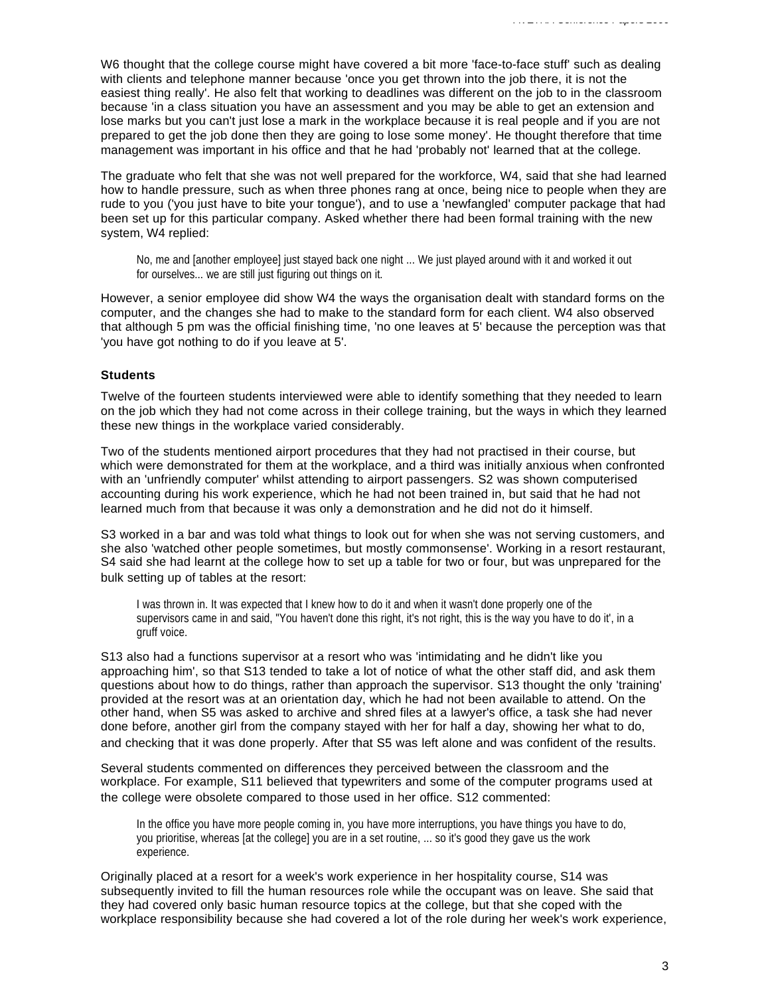W6 thought that the college course might have covered a bit more 'face-to-face stuff' such as dealing with clients and telephone manner because 'once you get thrown into the job there, it is not the easiest thing really'. He also felt that working to deadlines was different on the job to in the classroom because 'in a class situation you have an assessment and you may be able to get an extension and lose marks but you can't just lose a mark in the workplace because it is real people and if you are not prepared to get the job done then they are going to lose some money'. He thought therefore that time management was important in his office and that he had 'probably not' learned that at the college.

The graduate who felt that she was not well prepared for the workforce, W4, said that she had learned how to handle pressure, such as when three phones rang at once, being nice to people when they are rude to you ('you just have to bite your tongue'), and to use a 'newfangled' computer package that had been set up for this particular company. Asked whether there had been formal training with the new system, W4 replied:

No, me and [another employee] just stayed back one night ... We just played around with it and worked it out for ourselves... we are still just figuring out things on it.

However, a senior employee did show W4 the ways the organisation dealt with standard forms on the computer, and the changes she had to make to the standard form for each client. W4 also observed that although 5 pm was the official finishing time, 'no one leaves at 5' because the perception was that 'you have got nothing to do if you leave at 5'.

#### **Students**

Twelve of the fourteen students interviewed were able to identify something that they needed to learn on the job which they had not come across in their college training, but the ways in which they learned these new things in the workplace varied considerably.

Two of the students mentioned airport procedures that they had not practised in their course, but which were demonstrated for them at the workplace, and a third was initially anxious when confronted with an 'unfriendly computer' whilst attending to airport passengers. S2 was shown computerised accounting during his work experience, which he had not been trained in, but said that he had not learned much from that because it was only a demonstration and he did not do it himself.

S3 worked in a bar and was told what things to look out for when she was not serving customers, and she also 'watched other people sometimes, but mostly commonsense'. Working in a resort restaurant, S4 said she had learnt at the college how to set up a table for two or four, but was unprepared for the bulk setting up of tables at the resort:

I was thrown in. It was expected that I knew how to do it and when it wasn't done properly one of the supervisors came in and said, "You haven't done this right, it's not right, this is the way you have to do it', in a gruff voice.

S13 also had a functions supervisor at a resort who was 'intimidating and he didn't like you approaching him', so that S13 tended to take a lot of notice of what the other staff did, and ask them questions about how to do things, rather than approach the supervisor. S13 thought the only 'training' provided at the resort was at an orientation day, which he had not been available to attend. On the other hand, when S5 was asked to archive and shred files at a lawyer's office, a task she had never done before, another girl from the company stayed with her for half a day, showing her what to do, and checking that it was done properly. After that S5 was left alone and was confident of the results.

Several students commented on differences they perceived between the classroom and the workplace. For example, S11 believed that typewriters and some of the computer programs used at the college were obsolete compared to those used in her office. S12 commented:

In the office you have more people coming in, you have more interruptions, you have things you have to do, you prioritise, whereas [at the college] you are in a set routine, ... so it's good they gave us the work experience.

Originally placed at a resort for a week's work experience in her hospitality course, S14 was subsequently invited to fill the human resources role while the occupant was on leave. She said that they had covered only basic human resource topics at the college, but that she coped with the workplace responsibility because she had covered a lot of the role during her week's work experience,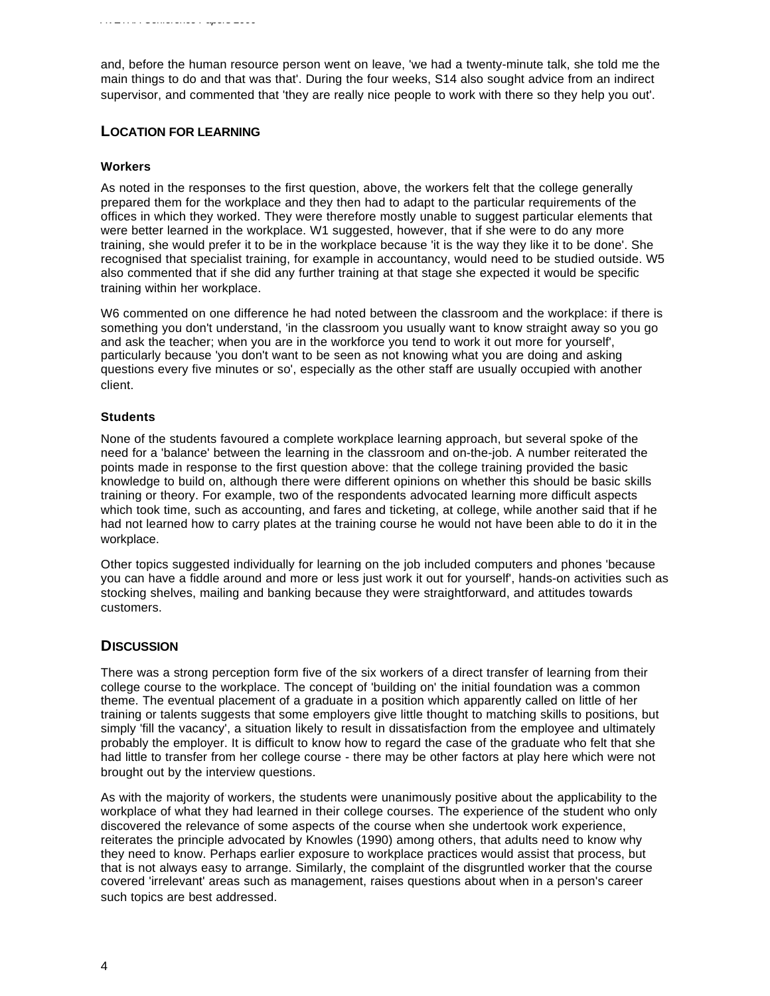and, before the human resource person went on leave, 'we had a twenty-minute talk, she told me the main things to do and that was that'. During the four weeks, S14 also sought advice from an indirect supervisor, and commented that 'they are really nice people to work with there so they help you out'.

# **LOCATION FOR LEARNING**

## **Workers**

As noted in the responses to the first question, above, the workers felt that the college generally prepared them for the workplace and they then had to adapt to the particular requirements of the offices in which they worked. They were therefore mostly unable to suggest particular elements that were better learned in the workplace. W1 suggested, however, that if she were to do any more training, she would prefer it to be in the workplace because 'it is the way they like it to be done'. She recognised that specialist training, for example in accountancy, would need to be studied outside. W5 also commented that if she did any further training at that stage she expected it would be specific training within her workplace.

W6 commented on one difference he had noted between the classroom and the workplace: if there is something you don't understand, 'in the classroom you usually want to know straight away so you go and ask the teacher; when you are in the workforce you tend to work it out more for yourself', particularly because 'you don't want to be seen as not knowing what you are doing and asking questions every five minutes or so', especially as the other staff are usually occupied with another client.

## **Students**

None of the students favoured a complete workplace learning approach, but several spoke of the need for a 'balance' between the learning in the classroom and on-the-job. A number reiterated the points made in response to the first question above: that the college training provided the basic knowledge to build on, although there were different opinions on whether this should be basic skills training or theory. For example, two of the respondents advocated learning more difficult aspects which took time, such as accounting, and fares and ticketing, at college, while another said that if he had not learned how to carry plates at the training course he would not have been able to do it in the workplace.

Other topics suggested individually for learning on the job included computers and phones 'because you can have a fiddle around and more or less just work it out for yourself', hands-on activities such as stocking shelves, mailing and banking because they were straightforward, and attitudes towards customers.

# **DISCUSSION**

There was a strong perception form five of the six workers of a direct transfer of learning from their college course to the workplace. The concept of 'building on' the initial foundation was a common theme. The eventual placement of a graduate in a position which apparently called on little of her training or talents suggests that some employers give little thought to matching skills to positions, but simply 'fill the vacancy', a situation likely to result in dissatisfaction from the employee and ultimately probably the employer. It is difficult to know how to regard the case of the graduate who felt that she had little to transfer from her college course - there may be other factors at play here which were not brought out by the interview questions.

As with the majority of workers, the students were unanimously positive about the applicability to the workplace of what they had learned in their college courses. The experience of the student who only discovered the relevance of some aspects of the course when she undertook work experience, reiterates the principle advocated by Knowles (1990) among others, that adults need to know why they need to know. Perhaps earlier exposure to workplace practices would assist that process, but that is not always easy to arrange. Similarly, the complaint of the disgruntled worker that the course covered 'irrelevant' areas such as management, raises questions about when in a person's career such topics are best addressed.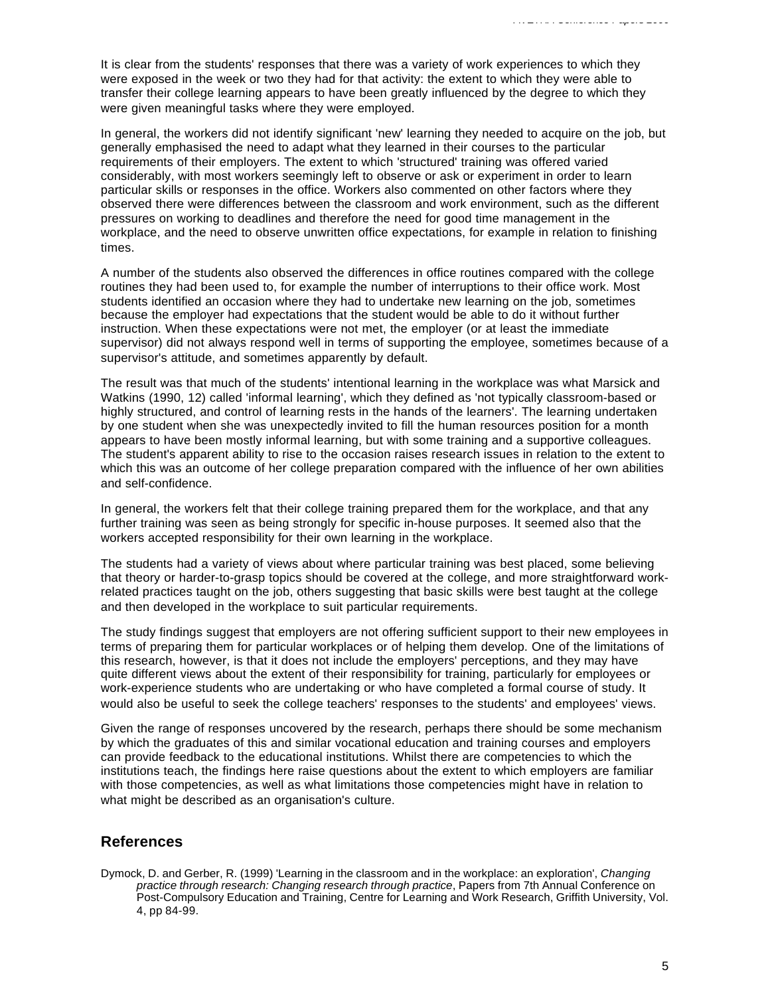It is clear from the students' responses that there was a variety of work experiences to which they were exposed in the week or two they had for that activity: the extent to which they were able to transfer their college learning appears to have been greatly influenced by the degree to which they were given meaningful tasks where they were employed.

In general, the workers did not identify significant 'new' learning they needed to acquire on the job, but generally emphasised the need to adapt what they learned in their courses to the particular requirements of their employers. The extent to which 'structured' training was offered varied considerably, with most workers seemingly left to observe or ask or experiment in order to learn particular skills or responses in the office. Workers also commented on other factors where they observed there were differences between the classroom and work environment, such as the different pressures on working to deadlines and therefore the need for good time management in the workplace, and the need to observe unwritten office expectations, for example in relation to finishing times.

A number of the students also observed the differences in office routines compared with the college routines they had been used to, for example the number of interruptions to their office work. Most students identified an occasion where they had to undertake new learning on the job, sometimes because the employer had expectations that the student would be able to do it without further instruction. When these expectations were not met, the employer (or at least the immediate supervisor) did not always respond well in terms of supporting the employee, sometimes because of a supervisor's attitude, and sometimes apparently by default.

The result was that much of the students' intentional learning in the workplace was what Marsick and Watkins (1990, 12) called 'informal learning', which they defined as 'not typically classroom-based or highly structured, and control of learning rests in the hands of the learners'. The learning undertaken by one student when she was unexpectedly invited to fill the human resources position for a month appears to have been mostly informal learning, but with some training and a supportive colleagues. The student's apparent ability to rise to the occasion raises research issues in relation to the extent to which this was an outcome of her college preparation compared with the influence of her own abilities and self-confidence.

In general, the workers felt that their college training prepared them for the workplace, and that any further training was seen as being strongly for specific in-house purposes. It seemed also that the workers accepted responsibility for their own learning in the workplace.

The students had a variety of views about where particular training was best placed, some believing that theory or harder-to-grasp topics should be covered at the college, and more straightforward workrelated practices taught on the job, others suggesting that basic skills were best taught at the college and then developed in the workplace to suit particular requirements.

The study findings suggest that employers are not offering sufficient support to their new employees in terms of preparing them for particular workplaces or of helping them develop. One of the limitations of this research, however, is that it does not include the employers' perceptions, and they may have quite different views about the extent of their responsibility for training, particularly for employees or work-experience students who are undertaking or who have completed a formal course of study. It would also be useful to seek the college teachers' responses to the students' and employees' views.

Given the range of responses uncovered by the research, perhaps there should be some mechanism by which the graduates of this and similar vocational education and training courses and employers can provide feedback to the educational institutions. Whilst there are competencies to which the institutions teach, the findings here raise questions about the extent to which employers are familiar with those competencies, as well as what limitations those competencies might have in relation to what might be described as an organisation's culture.

# **References**

Dymock, D. and Gerber, R. (1999) 'Learning in the classroom and in the workplace: an exploration', *Changing practice through research: Changing research through practice*, Papers from 7th Annual Conference on Post-Compulsory Education and Training, Centre for Learning and Work Research, Griffith University, Vol. 4, pp 84-99.